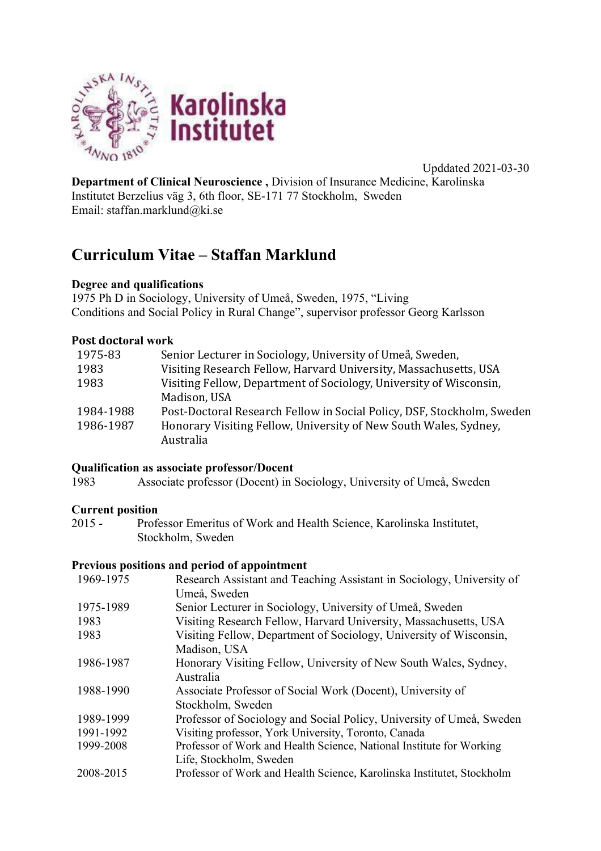

Upddated 2021-03-30

**Department of Clinical Neuroscience ,** Division of Insurance Medicine, Karolinska Institutet Berzelius väg 3, 6th floor, SE-171 77 Stockholm, Sweden Email: staffan.marklund@ki.se

# **Curriculum Vitae – Staffan Marklund**

### **Degree and qualifications**

1975 Ph D in Sociology, University of Umeå, Sweden, 1975, "Living Conditions and Social Policy in Rural Change", supervisor professor Georg Karlsson

#### **Post doctoral work**

| 1975-83   | Senior Lecturer in Sociology, University of Umeå, Sweden,              |
|-----------|------------------------------------------------------------------------|
| 1983      | Visiting Research Fellow, Harvard University, Massachusetts, USA       |
| 1983      | Visiting Fellow, Department of Sociology, University of Wisconsin,     |
|           | Madison, USA                                                           |
| 1984-1988 | Post-Doctoral Research Fellow in Social Policy, DSF, Stockholm, Sweden |
| 1986-1987 | Honorary Visiting Fellow, University of New South Wales, Sydney,       |
|           | Australia                                                              |

#### **Qualification as associate professor/Docent**

1983 Associate professor (Docent) in Sociology, University of Umeå, Sweden

**Current position**<br>2015 - Profe Professor Emeritus of Work and Health Science, Karolinska Institutet, Stockholm, Sweden

#### **Previous positions and period of appointment**

| 1969-1975 | Research Assistant and Teaching Assistant in Sociology, University of  |
|-----------|------------------------------------------------------------------------|
|           | Umeå, Sweden                                                           |
| 1975-1989 | Senior Lecturer in Sociology, University of Umeå, Sweden               |
| 1983      | Visiting Research Fellow, Harvard University, Massachusetts, USA       |
| 1983      | Visiting Fellow, Department of Sociology, University of Wisconsin,     |
|           | Madison, USA                                                           |
| 1986-1987 | Honorary Visiting Fellow, University of New South Wales, Sydney,       |
|           | Australia                                                              |
| 1988-1990 | Associate Professor of Social Work (Docent), University of             |
|           | Stockholm, Sweden                                                      |
| 1989-1999 | Professor of Sociology and Social Policy, University of Umeå, Sweden   |
| 1991-1992 | Visiting professor, York University, Toronto, Canada                   |
| 1999-2008 | Professor of Work and Health Science, National Institute for Working   |
|           | Life, Stockholm, Sweden                                                |
| 2008-2015 | Professor of Work and Health Science, Karolinska Institutet, Stockholm |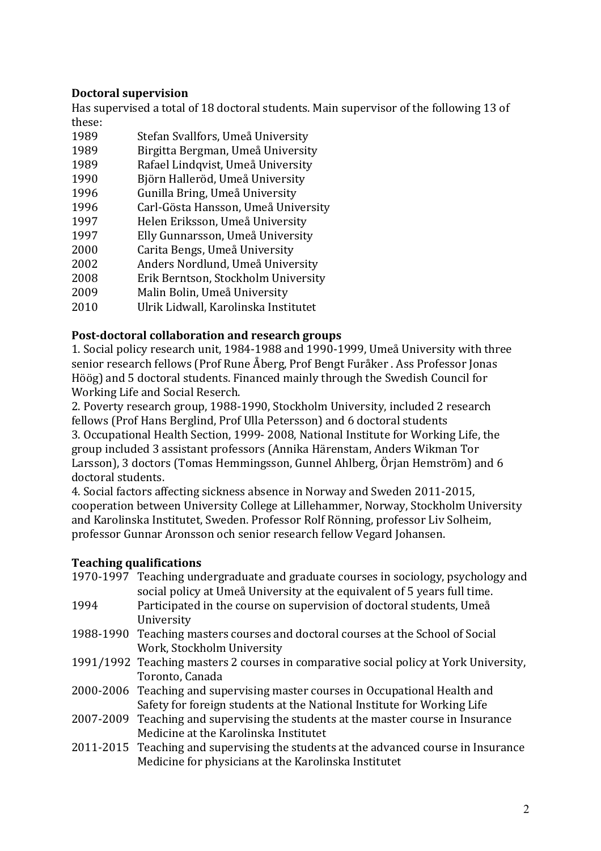# **Doctoral supervision**

Has supervised a total of 18 doctoral students. Main supervisor of the following 13 of these:

- 1989 Stefan Svallfors, Umeå University
- 1989 Birgitta Bergman, Umeå University
- 1989 Rafael Lindqvist, Umeå University
- 1990 Björn Halleröd, Umeå University
- 1996 Gunilla Bring, Umeå University
- 1996 Carl-Gösta Hansson, Umeå University
- 1997 Helen Eriksson, Umeå University
- 1997 Elly Gunnarsson, Umeå University
- 2000 Carita Bengs, Umeå University
- 2002 Anders Nordlund, Umeå University
- 2008 Erik Berntson, Stockholm University
- 2009 Malin Bolin, Umeå University
- 2010 Ulrik Lidwall, Karolinska Institutet

#### **Post-doctoral collaboration and research groups**

1. Social policy research unit, 1984-1988 and 1990-1999, Umeå University with three senior research fellows (Prof Rune Åberg, Prof Bengt Furåker . Ass Professor Jonas Höög) and 5 doctoral students. Financed mainly through the Swedish Council for Working Life and Social Reserch.

2. Poverty research group, 1988-1990, Stockholm University, included 2 research fellows (Prof Hans Berglind, Prof Ulla Petersson) and 6 doctoral students 3. Occupational Health Section, 1999- 2008, National Institute for Working Life, the group included 3 assistant professors (Annika Härenstam, Anders Wikman Tor Larsson), 3 doctors (Tomas Hemmingsson, Gunnel Ahlberg, Örjan Hemström) and 6 doctoral students.

4. Social factors affecting sickness absence in Norway and Sweden 2011-2015, cooperation between University College at Lillehammer, Norway, Stockholm University and Karolinska Institutet, Sweden. Professor Rolf Rönning, professor Liv Solheim, professor Gunnar Aronsson och senior research fellow Vegard Johansen.

# **Teaching qualifications**

- 1970-1997 Teaching undergraduate and graduate courses in sociology, psychology and social policy at Umeå University at the equivalent of 5 years full time. 1994 Participated in the course on supervision of doctoral students, Umeå University 1988-1990 Teaching masters courses and doctoral courses at the School of Social Work, Stockholm University 1991/1992 Teaching masters 2 courses in comparative social policy at York University, Toronto, Canada 2000-2006 Teaching and supervising master courses in Occupational Health and Safety for foreign students at the National Institute for Working Life
- 2007-2009 Teaching and supervising the students at the master course in Insurance Medicine at the Karolinska Institutet
- 2011-2015 Teaching and supervising the students at the advanced course in Insurance Medicine for physicians at the Karolinska Institutet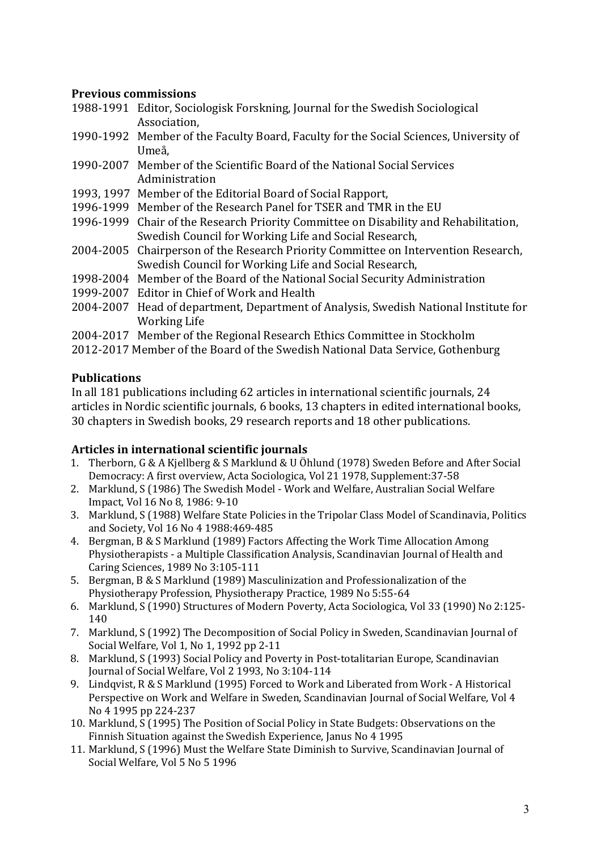## **Previous commissions**

- 1988-1991 Editor, Sociologisk Forskning, Journal for the Swedish Sociological Association,
- 1990-1992 Member of the Faculty Board, Faculty for the Social Sciences, University of Umeå,
- 1990-2007 Member of the Scientific Board of the National Social Services Administration
- 1993, 1997 Member of the Editorial Board of Social Rapport,
- 1996-1999 Member of the Research Panel for TSER and TMR in the EU
- 1996-1999 Chair of the Research Priority Committee on Disability and Rehabilitation, Swedish Council for Working Life and Social Research,
- 2004-2005 Chairperson of the Research Priority Committee on Intervention Research, Swedish Council for Working Life and Social Research,
- 1998-2004 Member of the Board of the National Social Security Administration
- 1999-2007 Editor in Chief of Work and Health
- 2004-2007 Head of department, Department of Analysis, Swedish National Institute for Working Life
- 2004-2017 Member of the Regional Research Ethics Committee in Stockholm
- 2012-2017 Member of the Board of the Swedish National Data Service, Gothenburg

# **Publications**

In all 181 publications including 62 articles in international scientific journals, 24 articles in Nordic scientific journals, 6 books, 13 chapters in edited international books, 30 chapters in Swedish books, 29 research reports and 18 other publications.

### Articles in international scientific journals

- 1. Therborn, G & A Kjellberg & S Marklund & U Öhlund (1978) Sweden Before and After Social Democracy: A first overview, Acta Sociologica, Vol 21 1978, Supplement:37-58
- 2. Marklund, S (1986) The Swedish Model Work and Welfare, Australian Social Welfare Impact, Vol 16 No 8, 1986: 9-10
- 3. Marklund, S (1988) Welfare State Policies in the Tripolar Class Model of Scandinavia, Politics and Society, Vol 16 No 4 1988:469-485
- 4. Bergman, B & S Marklund (1989) Factors Affecting the Work Time Allocation Among Physiotherapists - a Multiple Classification Analysis, Scandinavian Journal of Health and Caring Sciences, 1989 No 3:105-111
- 5. Bergman, B & S Marklund (1989) Masculinization and Professionalization of the Physiotherapy Profession, Physiotherapy Practice, 1989 No 5:55-64
- 6. Marklund, S (1990) Structures of Modern Poverty, Acta Sociologica, Vol 33 (1990) No 2:125-140
- 7. Marklund, S (1992) The Decomposition of Social Policy in Sweden, Scandinavian Journal of Social Welfare, Vol 1, No 1, 1992 pp 2-11
- 8. Marklund, S (1993) Social Policy and Poverty in Post-totalitarian Europe, Scandinavian Journal of Social Welfare, Vol 2 1993, No 3:104-114
- 9. Lindqvist, R & S Marklund (1995) Forced to Work and Liberated from Work A Historical Perspective on Work and Welfare in Sweden, Scandinavian Journal of Social Welfare, Vol 4 No 4 1995 pp 224-237
- 10. Marklund, S (1995) The Position of Social Policy in State Budgets: Observations on the Finnish Situation against the Swedish Experience, Janus No 4 1995
- 11. Marklund, S (1996) Must the Welfare State Diminish to Survive, Scandinavian Journal of Social Welfare, Vol 5 No 5 1996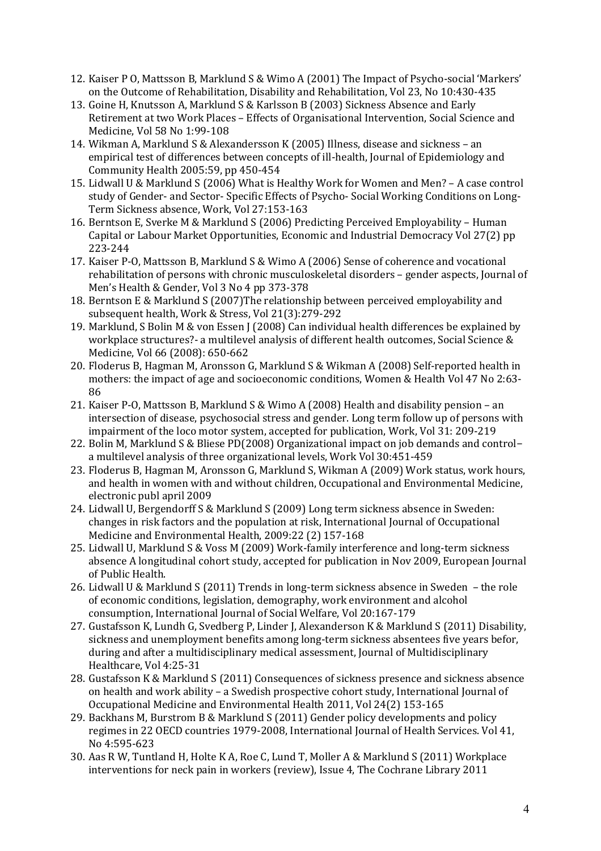- 12. Kaiser P O, Mattsson B, Marklund S & Wimo A (2001) The Impact of Psycho-social 'Markers' on the Outcome of Rehabilitation, Disability and Rehabilitation, Vol 23, No 10:430-435
- 13. Goine H, Knutsson A, Marklund S & Karlsson B (2003) Sickness Absence and Early Retirement at two Work Places - Effects of Organisational Intervention, Social Science and Medicine, Vol 58 No 1:99-108
- 14. Wikman A, Marklund S & Alexandersson K (2005) Illness, disease and sickness an empirical test of differences between concepts of ill-health, Journal of Epidemiology and Community Health 2005:59, pp 450-454
- 15. Lidwall U & Marklund S (2006) What is Healthy Work for Women and Men? A case control study of Gender- and Sector- Specific Effects of Psycho- Social Working Conditions on Long-Term Sickness absence, Work, Vol 27:153-163
- 16. Berntson E, Sverke M & Marklund S (2006) Predicting Perceived Employability Human Capital or Labour Market Opportunities, Economic and Industrial Democracy Vol 27(2) pp 223-244
- 17. Kaiser P-O, Mattsson B, Marklund S & Wimo A (2006) Sense of coherence and vocational rehabilitation of persons with chronic musculoskeletal disorders - gender aspects, Journal of Men's Health & Gender, Vol 3 No 4 pp 373-378
- 18. Berntson E & Marklund S (2007)The relationship between perceived employability and subsequent health, Work & Stress, Vol 21(3):279-292
- 19. Marklund, S Bolin M & von Essen J (2008) Can individual health differences be explained by workplace structures?- a multilevel analysis of different health outcomes, Social Science & Medicine, Vol 66 (2008): 650-662
- 20. Floderus B, Hagman M, Aronsson G, Marklund S & Wikman A (2008) Self-reported health in mothers: the impact of age and socioeconomic conditions, Women & Health Vol 47 No 2:63-86
- 21. Kaiser P-O, Mattsson B, Marklund S & Wimo A (2008) Health and disability pension an intersection of disease, psychosocial stress and gender. Long term follow up of persons with impairment of the loco motor system, accepted for publication, Work, Vol 31: 209-219
- 22. Bolin M, Marklund S & Bliese PD(2008) Organizational impact on job demands and controla multilevel analysis of three organizational levels, Work Vol 30:451-459
- 23. Floderus B, Hagman M, Aronsson G, Marklund S, Wikman A (2009) Work status, work hours, and health in women with and without children, Occupational and Environmental Medicine, electronic publ april 2009
- 24. Lidwall U, Bergendorff S & Marklund S (2009) Long term sickness absence in Sweden: changes in risk factors and the population at risk, International Journal of Occupational Medicine and Environmental Health, 2009:22 (2) 157-168
- 25. Lidwall U, Marklund S & Voss M (2009) Work-family interference and long-term sickness absence A longitudinal cohort study, accepted for publication in Nov 2009, European Journal of Public Health.
- 26. Lidwall U & Marklund S (2011) Trends in long-term sickness absence in Sweden  $-$  the role of economic conditions, legislation, demography, work environment and alcohol consumption, International Journal of Social Welfare, Vol 20:167-179
- 27. Gustafsson K, Lundh G, Svedberg P, Linder J, Alexanderson K & Marklund S (2011) Disability, sickness and unemployment benefits among long-term sickness absentees five years befor, during and after a multidisciplinary medical assessment, Journal of Multidisciplinary Healthcare, Vol 4:25-31
- 28. Gustafsson K & Marklund S (2011) Consequences of sickness presence and sickness absence on health and work ability – a Swedish prospective cohort study, International Journal of Occupational Medicine and Environmental Health 2011, Vol 24(2) 153-165
- 29. Backhans M, Burstrom B & Marklund S (2011) Gender policy developments and policy regimes in 22 OECD countries 1979-2008, International Journal of Health Services. Vol 41, No 4:595-623
- 30. Aas R W, Tuntland H, Holte K A, Roe C, Lund T, Moller A & Marklund S (2011) Workplace interventions for neck pain in workers (review), Issue 4, The Cochrane Library 2011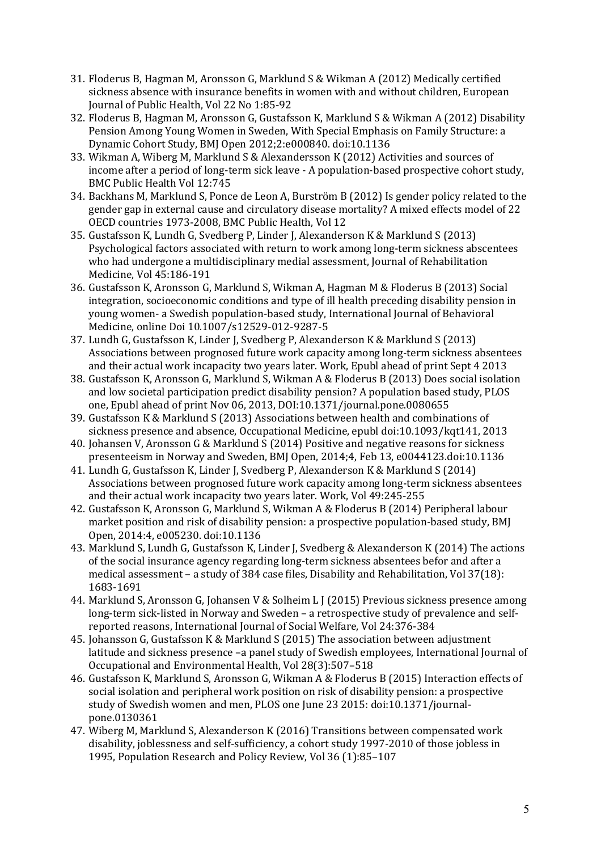- 31. Floderus B, Hagman M, Aronsson G, Marklund S & Wikman A (2012) Medically certified sickness absence with insurance benefits in women with and without children, European Journal of Public Health, Vol 22 No 1:85-92
- 32. Floderus B, Hagman M, Aronsson G, Gustafsson K, Marklund S & Wikman A (2012) Disability Pension Among Young Women in Sweden, With Special Emphasis on Family Structure: a Dynamic Cohort Study, BMJ Open 2012;2:e000840. doi:10.1136
- 33. Wikman A, Wiberg M, Marklund S & Alexandersson K (2012) Activities and sources of income after a period of long-term sick leave - A population-based prospective cohort study, BMC Public Health Vol 12:745
- 34. Backhans M, Marklund S, Ponce de Leon A, Burström B (2012) Is gender policy related to the gender gap in external cause and circulatory disease mortality? A mixed effects model of 22 OECD countries 1973-2008, BMC Public Health, Vol 12
- 35. Gustafsson K, Lundh G, Svedberg P, Linder J, Alexanderson K & Marklund S (2013) Psychological factors associated with return to work among long-term sickness abscentees who had undergone a multidisciplinary medial assessment, Journal of Rehabilitation Medicine, Vol 45:186-191
- 36. Gustafsson K, Aronsson G, Marklund S, Wikman A, Hagman M & Floderus B (2013) Social integration, socioeconomic conditions and type of ill health preceding disability pension in young women- a Swedish population-based study, International Journal of Behavioral Medicine, online Doi 10.1007/s12529-012-9287-5
- 37. Lundh G, Gustafsson K, Linder J, Svedberg P, Alexanderson K & Marklund S (2013) Associations between prognosed future work capacity among long-term sickness absentees and their actual work incapacity two years later. Work, Epubl ahead of print Sept 4 2013
- 38. Gustafsson K, Aronsson G, Marklund S, Wikman A & Floderus B (2013) Does social isolation and low societal participation predict disability pension? A population based study, PLOS one, Epubl ahead of print Nov 06, 2013, DOI:10.1371/journal.pone.0080655
- 39. Gustafsson K & Marklund S (2013) Associations between health and combinations of sickness presence and absence, Occupational Medicine, epubl doi:10.1093/kqt141, 2013
- 40. Johansen V, Aronsson G & Marklund S (2014) Positive and negative reasons for sickness presenteeism in Norway and Sweden, BMJ Open,  $2014;4$ , Feb 13, e0044123.doi:10.1136
- 41. Lundh G, Gustafsson K, Linder J, Svedberg P, Alexanderson K & Marklund S (2014) Associations between prognosed future work capacity among long-term sickness absentees and their actual work incapacity two vears later. Work, Vol 49:245-255
- 42. Gustafsson K, Aronsson G, Marklund S, Wikman A & Floderus B (2014) Peripheral labour market position and risk of disability pension: a prospective population-based study, BMJ Open, 2014:4, e005230. doi:10.1136
- 43. Marklund S, Lundh G, Gustafsson K, Linder J, Svedberg & Alexanderson K (2014) The actions of the social insurance agency regarding long-term sickness absentees befor and after a medical assessment  $-$  a study of 384 case files, Disability and Rehabilitation, Vol 37(18): 1683-1691
- 44. Marklund S, Aronsson G, Johansen V & Solheim L J (2015) Previous sickness presence among long-term sick-listed in Norway and Sweden – a retrospective study of prevalence and selfreported reasons, International Iournal of Social Welfare, Vol 24:376-384
- 45. Johansson G, Gustafsson K & Marklund S (2015) The association between adjustment latitude and sickness presence -a panel study of Swedish employees, International Journal of Occupational and Environmental Health, Vol 28(3):507-518
- 46. Gustafsson K, Marklund S, Aronsson G, Wikman A & Floderus B (2015) Interaction effects of social isolation and peripheral work position on risk of disability pension: a prospective study of Swedish women and men, PLOS one June 23 2015: doi:10.1371/journalpone.0130361
- 47. Wiberg M, Marklund S, Alexanderson K (2016) Transitions between compensated work disability, joblessness and self-sufficiency, a cohort study 1997-2010 of those jobless in 1995, Population Research and Policy Review, Vol 36 (1):85-107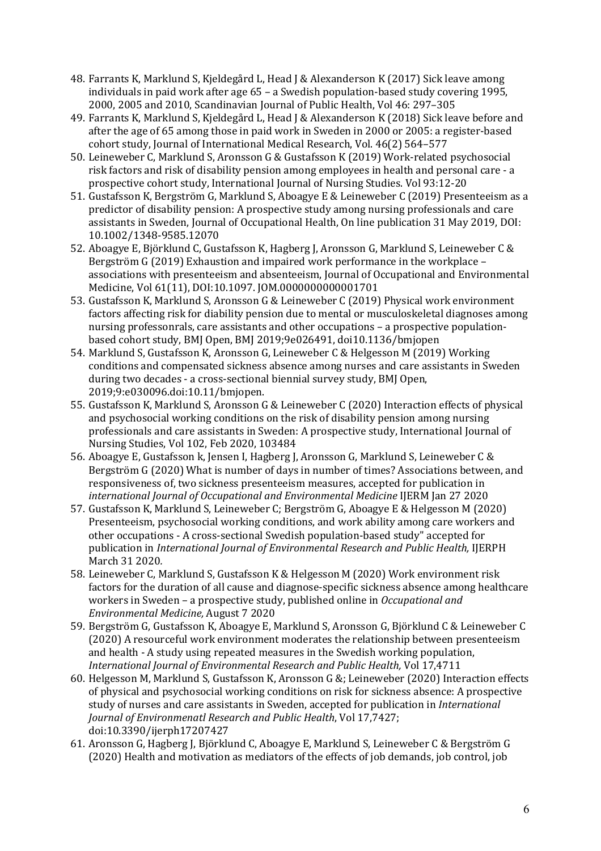- 48. Farrants K, Marklund S, Kjeldegård L, Head J & Alexanderson K (2017) Sick leave among individuals in paid work after age  $65$  – a Swedish population-based study covering 1995, 2000, 2005 and 2010, Scandinavian Journal of Public Health, Vol 46: 297-305
- 49. Farrants K, Marklund S, Kjeldegård L, Head J & Alexanderson K (2018) Sick leave before and after the age of 65 among those in paid work in Sweden in 2000 or 2005: a register-based cohort study, Journal of International Medical Research, Vol. 46(2) 564-577
- 50. Leineweber C, Marklund S, Aronsson G & Gustafsson K (2019) Work-related psychosocial risk factors and risk of disability pension among employees in health and personal care - a prospective cohort study, International Journal of Nursing Studies. Vol 93:12-20
- 51. Gustafsson K, Bergström G, Marklund S, Aboagye E & Leineweber C (2019) Presenteeism as a predictor of disability pension: A prospective study among nursing professionals and care assistants in Sweden, Journal of Occupational Health, On line publication 31 May 2019, DOI: 10.1002/1348-9585.12070
- 52. Aboagye E, Björklund C, Gustafsson K, Hagberg J, Aronsson G, Marklund S, Leineweber C & Bergström G (2019) Exhaustion and impaired work performance in the workplace – associations with presenteeism and absenteeism, Journal of Occupational and Environmental Medicine, Vol 61(11), DOI:10.1097. JOM.00000000000001701
- 53. Gustafsson K, Marklund S, Aronsson G & Leineweber C (2019) Physical work environment factors affecting risk for diability pension due to mental or musculoskeletal diagnoses among nursing professonrals, care assistants and other occupations – a prospective populationbased cohort study, BMI Open, BMI 2019;9e026491, doi10.1136/bmjopen
- 54. Marklund S, Gustafsson K, Aronsson G, Leineweber C & Helgesson M (2019) Working conditions and compensated sickness absence among nurses and care assistants in Sweden during two decades - a cross-sectional biennial survey study, BMJ Open, 2019;9:e030096.doi:10.11/bmjopen.
- 55. Gustafsson K, Marklund S, Aronsson G & Leineweber C (2020) Interaction effects of physical and psychosocial working conditions on the risk of disability pension among nursing professionals and care assistants in Sweden: A prospective study, International Journal of Nursing Studies, Vol 102, Feb 2020, 103484
- 56. Aboagye E, Gustafsson k, Jensen I, Hagberg J, Aronsson G, Marklund S, Leineweber C & Bergström G (2020) What is number of days in number of times? Associations between, and responsiveness of, two sickness presenteeism measures, accepted for publication in *international Journal of Occupational and Environmental Medicine* IJERM Jan 27 2020
- 57. Gustafsson K, Marklund S, Leineweber C; Bergström G, Aboagye E & Helgesson M (2020) Presenteeism, psychosocial working conditions, and work ability among care workers and other occupations - A cross-sectional Swedish population-based study" accepted for publication in *International Journal of Environmental Research and Public Health*, IJERPH March 31 2020*.*
- 58. Leineweber C, Marklund S, Gustafsson K & Helgesson M (2020) Work environment risk factors for the duration of all cause and diagnose-specific sickness absence among healthcare workers in Sweden - a prospective study, published online in *Occupational and Environmental Medicine,* August 7 2020
- 59. Bergström G, Gustafsson K, Aboagye E, Marklund S, Aronsson G, Björklund C & Leineweber C (2020) A resourceful work environment moderates the relationship between presenteeism and health - A study using repeated measures in the Swedish working population, *International Journal of Environmental Research and Public Health, Vol 17,4711*
- 60. Helgesson M, Marklund S, Gustafsson K, Aronsson G &; Leineweber (2020) Interaction effects of physical and psychosocial working conditions on risk for sickness absence: A prospective study of nurses and care assistants in Sweden, accepted for publication in *International Journal of Environmenatl Research and Public Health*, Vol 17,7427; doi:10.3390/ijerph17207427
- 61. Aronsson G, Hagberg J, Björklund C, Aboagye E, Marklund S, Leineweber C & Bergström G (2020) Health and motivation as mediators of the effects of job demands, job control, job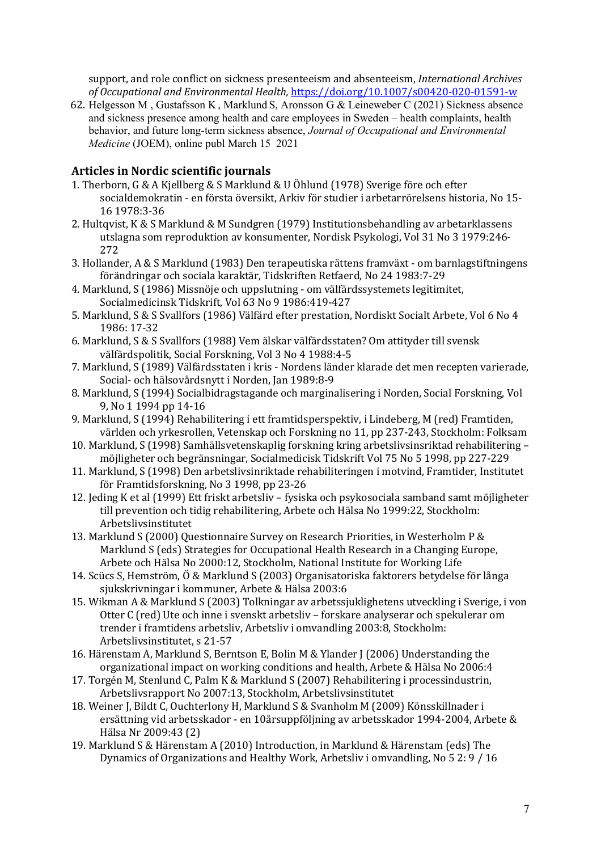support, and role conflict on sickness presenteeism and absenteeism, *International Archives of Occupational and Environmental Health,* https://doi.org/10.1007/s00420-020-01591-w

62. Helgesson M , Gustafsson K , Marklund S, Aronsson G & Leineweber C (2021) Sickness absence and sickness presence among health and care employees in Sweden – health complaints, health behavior, and future long-term sickness absence, *Journal of Occupational and Environmental Medicine* (JOEM), online publ March 15 2021

## **Articles in Nordic scientific journals**

- 1. Therborn, G & A Kjellberg & S Marklund & U Öhlund (1978) Sverige före och efter socialdemokratin - en första översikt, Arkiv för studier i arbetarrörelsens historia, No 15-16 1978:3-36
- 2. Hultqvist,  $K & S$  Marklund & M Sundgren (1979) Institutionsbehandling av arbetarklassens utslagna som reproduktion av konsumenter, Nordisk Psykologi, Vol 31 No 3 1979:246-272
- 3. Hollander, A & S Marklund (1983) Den terapeutiska rättens framväxt om barnlagstiftningens förändringar och sociala karaktär, Tidskriften Retfaerd, No 24 1983:7-29
- 4. Marklund, S (1986) Missnöje och uppslutning om välfärdssystemets legitimitet, Socialmedicinsk Tidskrift, Vol 63 No 9 1986:419-427
- 5. Marklund, S & S Svallfors (1986) Välfärd efter prestation, Nordiskt Socialt Arbete, Vol 6 No 4 1986: 17-32
- 6. Marklund, S & S Svallfors (1988) Vem älskar välfärdsstaten? Om attityder till svensk välfärdspolitik, Social Forskning, Vol 3 No 4 1988:4-5
- 7. Marklund, S (1989) Välfärdsstaten i kris Nordens länder klarade det men recepten varierade, Social- och hälsovårdsnytt i Norden, Jan 1989:8-9
- 8. Marklund, S (1994) Socialbidragstagande och marginalisering i Norden, Social Forskning, Vol 9. No 1 1994 pp 14-16
- 9. Marklund, S (1994) Rehabilitering i ett framtidsperspektiv, i Lindeberg, M (red) Framtiden, världen och yrkesrollen, Vetenskap och Forskning no 11, pp 237-243, Stockholm: Folksam
- 10. Marklund, S (1998) Samhällsvetenskaplig forskning kring arbetslivsinsriktad rehabilitering möjligheter och begränsningar, Socialmedicisk Tidskrift Vol 75 No 5 1998, pp 227-229
- 11. Marklund, S (1998) Den arbetslivsinriktade rehabiliteringen i motvind, Framtider, Institutet för Framtidsforskning, No 3 1998, pp 23-26
- 12. Jeding K et al (1999) Ett friskt arbetsliv fysiska och psykosociala samband samt möjligheter till prevention och tidig rehabilitering, Arbete och Hälsa No 1999:22, Stockholm: Arbetslivsinstitutet
- 13. Marklund S (2000) Ouestionnaire Survey on Research Priorities, in Westerholm P & Marklund S (eds) Strategies for Occupational Health Research in a Changing Europe, Arbete och Hälsa No 2000:12, Stockholm, National Institute for Working Life
- 14. Scücs S, Hemström, Ö & Marklund S (2003) Organisatoriska faktorers betydelse för långa sjukskrivningar i kommuner, Arbete & Hälsa 2003:6
- 15. Wikman A & Marklund S (2003) Tolkningar av arbetssjuklighetens utveckling i Sverige, i von Otter C (red) Ute och inne i svenskt arbetsliv – forskare analyserar och spekulerar om trender i framtidens arbetsliv, Arbetsliv i omvandling 2003:8, Stockholm: Arbetslivsinstitutet, s 21-57
- 16. Härenstam A, Marklund S, Berntson E, Bolin M & Ylander J (2006) Understanding the organizational impact on working conditions and health, Arbete & Hälsa No 2006:4
- 17. Torgén M, Stenlund C, Palm K & Marklund S (2007) Rehabilitering i processindustrin, Arbetslivsrapport No 2007:13, Stockholm, Arbetslivsinstitutet
- 18. Weiner J, Bildt C, Ouchterlony H, Marklund S & Svanholm M (2009) Könsskillnader i ersättning vid arbetsskador - en 10årsuppföljning av arbetsskador 1994-2004, Arbete & Hälsa Nr 2009:43 (2)
- 19. Marklund S & Härenstam A (2010) Introduction, in Marklund & Härenstam (eds) The Dynamics of Organizations and Healthy Work, Arbetsliv i omvandling, No 5 2: 9 / 16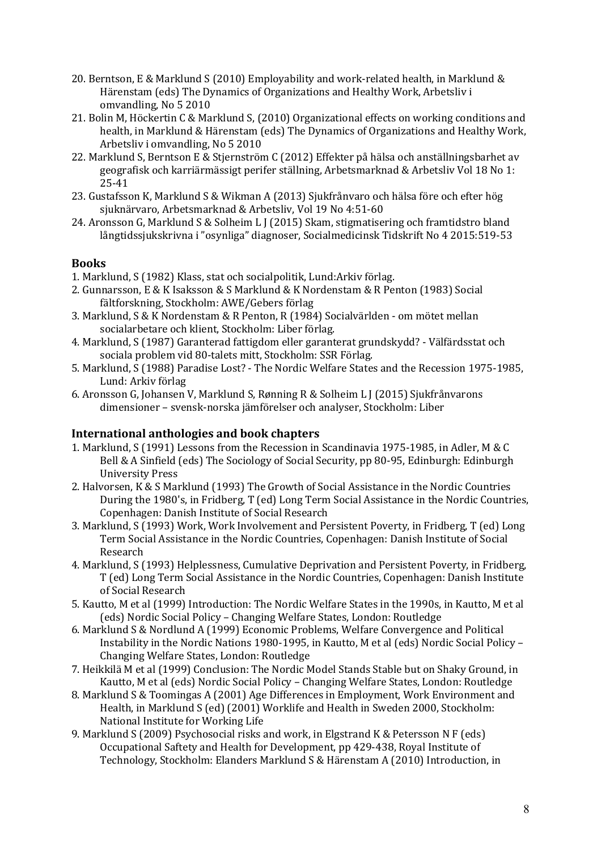- 20. Berntson, E & Marklund S (2010) Employability and work-related health, in Marklund & Härenstam (eds) The Dynamics of Organizations and Healthy Work, Arbetsliv i omvandling, No 5 2010
- 21. Bolin M, Höckertin C & Marklund S, (2010) Organizational effects on working conditions and health, in Marklund & Härenstam (eds) The Dynamics of Organizations and Healthy Work, Arbetsliv i omvandling, No 5 2010
- 22. Marklund S, Berntson E & Stjernström C (2012) Effekter på hälsa och anställningsbarhet av geografisk och karriärmässigt perifer ställning, Arbetsmarknad & Arbetsliv Vol 18 No 1: 25-41
- 23. Gustafsson K, Marklund S & Wikman A (2013) Sjukfrånvaro och hälsa före och efter hög sjuknärvaro, Arbetsmarknad & Arbetsliv, Vol 19 No 4:51-60
- 24. Aronsson G, Marklund S & Solheim L J (2015) Skam, stigmatisering och framtidstro bland långtidssjukskrivna i "osynliga" diagnoser, Socialmedicinsk Tidskrift No 4 2015:519-53

#### **Books**

- 1. Marklund, S (1982) Klass, stat och socialpolitik, Lund:Arkiv förlag.
- 2. Gunnarsson, E & K Isaksson & S Marklund & K Nordenstam & R Penton (1983) Social fältforskning, Stockholm: AWE/Gebers förlag
- 3. Marklund, S & K Nordenstam & R Penton, R (1984) Socialvärlden om mötet mellan socialarbetare och klient, Stockholm: Liber förlag.
- 4. Marklund, S (1987) Garanterad fattigdom eller garanterat grundskydd? Välfärdsstat och sociala problem vid 80-talets mitt, Stockholm: SSR Förlag.
- 5. Marklund, S (1988) Paradise Lost? The Nordic Welfare States and the Recession 1975-1985, Lund: Arkiv förlag
- 6. Aronsson G, Johansen V, Marklund S, Rønning R & Solheim L J (2015) Sjukfrånvarons dimensioner - svensk-norska jämförelser och analyser, Stockholm: Liber

#### **International anthologies and book chapters**

- 1. Marklund, S (1991) Lessons from the Recession in Scandinavia 1975-1985, in Adler, M & C Bell & A Sinfield (eds) The Sociology of Social Security, pp 80-95, Edinburgh: Edinburgh University Press
- 2. Halvorsen, K & S Marklund (1993) The Growth of Social Assistance in the Nordic Countries During the 1980's, in Fridberg, T (ed) Long Term Social Assistance in the Nordic Countries, Copenhagen: Danish Institute of Social Research
- 3. Marklund, S (1993) Work, Work Involvement and Persistent Poverty, in Fridberg, T (ed) Long Term Social Assistance in the Nordic Countries, Copenhagen: Danish Institute of Social Research
- 4. Marklund, S (1993) Helplessness, Cumulative Deprivation and Persistent Poverty, in Fridberg, T (ed) Long Term Social Assistance in the Nordic Countries, Copenhagen: Danish Institute of Social Research
- 5. Kautto, M et al (1999) Introduction: The Nordic Welfare States in the 1990s, in Kautto, M et al (eds) Nordic Social Policy – Changing Welfare States, London: Routledge
- 6. Marklund S & Nordlund A (1999) Economic Problems, Welfare Convergence and Political Instability in the Nordic Nations 1980-1995, in Kautto, M et al (eds) Nordic Social Policy -Changing Welfare States, London: Routledge
- 7. Heikkilä M et al (1999) Conclusion: The Nordic Model Stands Stable but on Shaky Ground, in Kautto, M et al (eds) Nordic Social Policy – Changing Welfare States, London: Routledge
- 8. Marklund S & Toomingas A (2001) Age Differences in Employment, Work Environment and Health, in Marklund S (ed) (2001) Worklife and Health in Sweden 2000, Stockholm: National Institute for Working Life
- 9. Marklund S (2009) Psychosocial risks and work, in Elgstrand K & Petersson N F (eds) Occupational Saftety and Health for Development, pp 429-438, Royal Institute of Technology, Stockholm: Elanders Marklund S & Härenstam A (2010) Introduction, in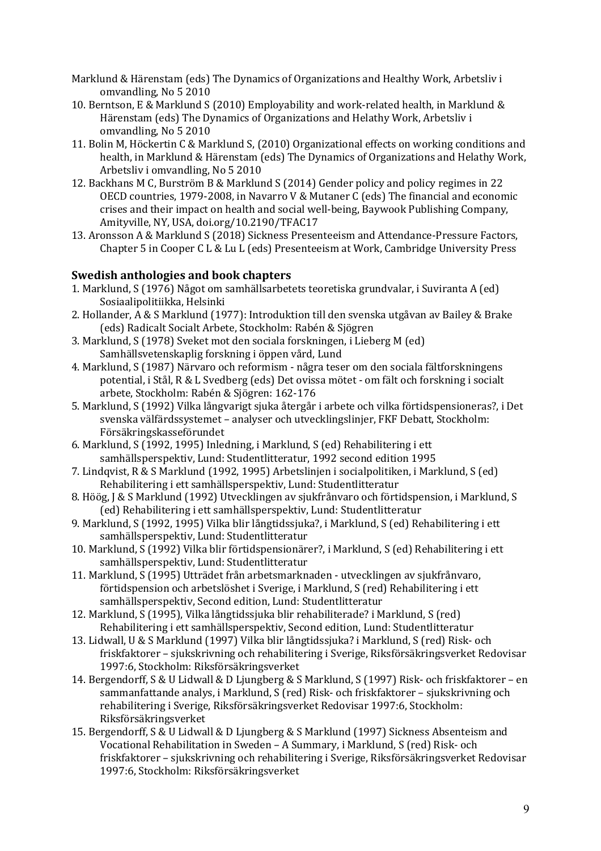- Marklund & Härenstam (eds) The Dynamics of Organizations and Healthy Work, Arbetsliv i omvandling, No 5 2010
- 10. Berntson, E & Marklund S (2010) Employability and work-related health, in Marklund & Härenstam (eds) The Dynamics of Organizations and Helathy Work, Arbetsliv i omvandling, No 5 2010
- 11. Bolin M, Höckertin C & Marklund S, (2010) Organizational effects on working conditions and health, in Marklund & Härenstam (eds) The Dynamics of Organizations and Helathy Work, Arbetsliv i omvandling, No 5 2010
- 12. Backhans M C, Burström B & Marklund S (2014) Gender policy and policy regimes in 22 OECD countries, 1979-2008, in Navarro V & Mutaner C (eds) The financial and economic crises and their impact on health and social well-being, Baywook Publishing Company, Amityville, NY, USA, doi.org/10.2190/TFAC17
- 13. Aronsson A & Marklund S (2018) Sickness Presenteeism and Attendance-Pressure Factors, Chapter 5 in Cooper C L & Lu L (eds) Presenteeism at Work, Cambridge University Press

# **Swedish anthologies and book chapters**

- 1. Marklund, S (1976) Något om samhällsarbetets teoretiska grundvalar, i Suviranta A (ed) Sosiaalipolitiikka, Helsinki
- 2. Hollander, A & S Marklund (1977): Introduktion till den svenska utgåvan av Bailey & Brake (eds) Radicalt Socialt Arbete, Stockholm: Rabén & Sjögren
- 3. Marklund, S (1978) Sveket mot den sociala forskningen, i Lieberg M (ed) Samhällsvetenskaplig forskning i öppen vård, Lund
- 4. Marklund, S (1987) Närvaro och reformism några teser om den sociala fältforskningens potential, i Stål, R & L Svedberg (eds) Det ovissa mötet - om fält och forskning i socialt arbete, Stockholm: Rabén & Sjögren: 162-176
- 5. Marklund, S (1992) Vilka långvarigt sjuka återgår i arbete och vilka förtidspensioneras?, i Det svenska välfärdssystemet - analyser och utvecklingslinjer, FKF Debatt, Stockholm: Försäkringskasseförundet
- 6. Marklund, S (1992, 1995) Inledning, i Marklund, S (ed) Rehabilitering i ett samhällsperspektiv, Lund: Studentlitteratur, 1992 second edition 1995
- 7. Lindqvist, R & S Marklund (1992, 1995) Arbetslinjen i socialpolitiken, i Marklund, S (ed) Rehabilitering i ett samhällsperspektiv, Lund: Studentlitteratur
- 8. Höög, J & S Marklund (1992) Utvecklingen av sjukfrånvaro och förtidspension, i Marklund, S (ed) Rehabilitering i ett samhällsperspektiv, Lund: Studentlitteratur
- 9. Marklund, S (1992, 1995) Vilka blir långtidssjuka?, i Marklund, S (ed) Rehabilitering i ett samhällsperspektiv, Lund: Studentlitteratur
- 10. Marklund, S (1992) Vilka blir förtidspensionärer?, i Marklund, S (ed) Rehabilitering i ett samhällsperspektiv, Lund: Studentlitteratur
- 11. Marklund, S (1995) Utträdet från arbetsmarknaden - utvecklingen av sjukfrånvaro, förtidspension och arbetslöshet i Sverige, i Marklund, S (red) Rehabilitering i ett samhällsperspektiv, Second edition, Lund: Studentlitteratur
- 12. Marklund, S (1995), Vilka långtidssjuka blir rehabiliterade? i Marklund, S (red) Rehabilitering i ett samhällsperspektiv, Second edition, Lund: Studentlitteratur
- 13. Lidwall, U & S Marklund (1997) Vilka blir långtidssjuka? i Marklund, S (red) Risk- och friskfaktorer – sjukskrivning och rehabilitering i Sverige, Riksförsäkringsverket Redovisar 1997:6, Stockholm: Riksförsäkringsverket
- 14. Bergendorff, S & U Lidwall & D Ljungberg & S Marklund, S (1997) Risk- och friskfaktorer en sammanfattande analys, i Marklund, S (red) Risk- och friskfaktorer – sjukskrivning och rehabilitering i Sverige, Riksförsäkringsverket Redovisar 1997:6, Stockholm: Riksförsäkringsverket
- 15. Bergendorff, S & U Lidwall & D Ljungberg & S Marklund (1997) Sickness Absenteism and Vocational Rehabilitation in Sweden - A Summary, i Marklund, S (red) Risk- och friskfaktorer – sjukskrivning och rehabilitering i Sverige, Riksförsäkringsverket Redovisar 1997:6, Stockholm: Riksförsäkringsverket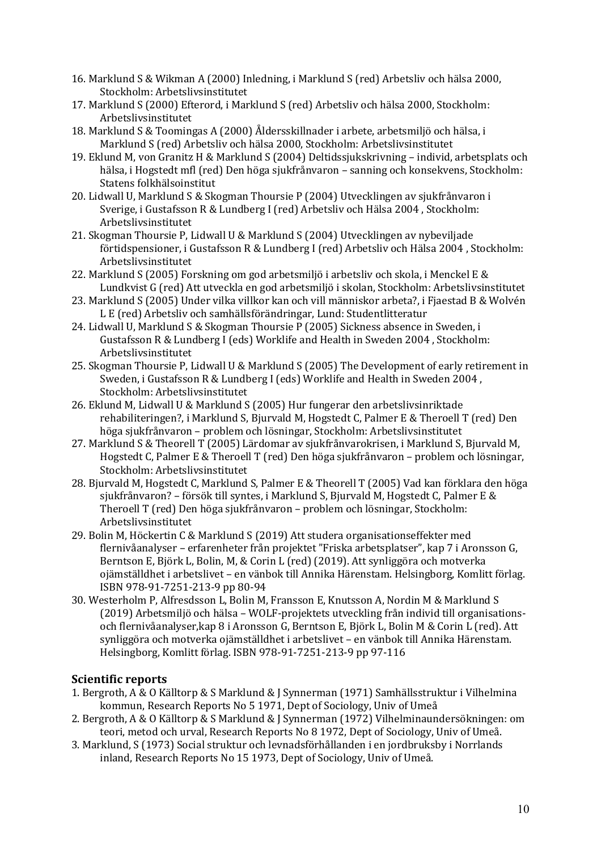- 16. Marklund S & Wikman A (2000) Inledning, i Marklund S (red) Arbetsliv och hälsa 2000, Stockholm: Arbetslivsinstitutet
- 17. Marklund S (2000) Efterord, i Marklund S (red) Arbetsliv och hälsa 2000, Stockholm: Arbetslivsinstitutet
- 18. Marklund S & Toomingas A (2000) Åldersskillnader i arbete, arbetsmiljö och hälsa, i Marklund S (red) Arbetsliv och hälsa 2000, Stockholm: Arbetslivsinstitutet
- 19. Eklund M, von Granitz H & Marklund S (2004) Deltidssjukskrivning individ, arbetsplats och hälsa, i Hogstedt mfl (red) Den höga sjukfrånvaron – sanning och konsekvens, Stockholm: Statens folkhälsoinstitut
- 20. Lidwall U, Marklund S & Skogman Thoursie P (2004) Utvecklingen av sjukfrånvaron i Sverige, i Gustafsson R & Lundberg I (red) Arbetsliv och Hälsa 2004, Stockholm: Arbetslivsinstitutet
- 21. Skogman Thoursie P, Lidwall U & Marklund S (2004) Utvecklingen av nybeviljade förtidspensioner, i Gustafsson R & Lundberg I (red) Arbetsliv och Hälsa 2004, Stockholm: Arbetslivsinstitutet
- 22. Marklund S (2005) Forskning om god arbetsmiljö i arbetsliv och skola, i Menckel E & Lundkvist G (red) Att utveckla en god arbetsmiliö i skolan, Stockholm: Arbetslivsinstitutet
- 23. Marklund S (2005) Under vilka villkor kan och vill människor arbeta?, i Fjaestad B & Wolvén L E (red) Arbetsliv och samhällsförändringar, Lund: Studentlitteratur
- 24. Lidwall U, Marklund S & Skogman Thoursie P (2005) Sickness absence in Sweden, i Gustafsson R & Lundberg I (eds) Worklife and Health in Sweden 2004 , Stockholm: Arbetslivsinstitutet
- 25. Skogman Thoursie P, Lidwall U & Marklund S (2005) The Development of early retirement in Sweden, i Gustafsson R & Lundberg I (eds) Worklife and Health in Sweden 2004, Stockholm: Arbetslivsinstitutet
- 26. Eklund M, Lidwall U & Marklund S (2005) Hur fungerar den arbetslivsinriktade rehabiliteringen?, i Marklund S, Bjurvald M, Hogstedt C, Palmer E & Theroell T (red) Den höga sjukfrånvaron – problem och lösningar, Stockholm: Arbetslivsinstitutet
- 27. Marklund S & Theorell T (2005) Lärdomar av sjukfrånvarokrisen, i Marklund S, Bjurvald M, Hogstedt C, Palmer E & Theroell T (red) Den höga sjukfrånvaron – problem och lösningar, Stockholm: Arbetslivsinstitutet
- 28. Bjurvald M, Hogstedt C, Marklund S, Palmer E & Theorell T (2005) Vad kan förklara den höga sjukfrånvaron? – försök till syntes, i Marklund S, Bjurvald M, Hogstedt C, Palmer E & Theroell T (red) Den höga sjukfrånvaron – problem och lösningar, Stockholm: Arbetslivsinstitutet
- 29. Bolin M, Höckertin C & Marklund S (2019) Att studera organisationseffekter med flernivåanalyser – erfarenheter från projektet "Friska arbetsplatser", kap 7 i Aronsson G, Berntson E, Björk L, Bolin, M, & Corin L (red) (2019). Att synliggöra och motverka ojämställdhet i arbetslivet – en vänbok till Annika Härenstam. Helsingborg, Komlitt förlag. ISBN 978-91-7251-213-9 pp 80-94
- 30. Westerholm P, Alfresdsson L, Bolin M, Fransson E, Knutsson A, Nordin M & Marklund S (2019) Arbetsmiljö och hälsa – WOLF-projektets utveckling från individ till organisationsoch flernivåanalyser,kap 8 i Aronsson G, Berntson E, Björk L, Bolin M & Corin L (red). Att synliggöra och motverka ojämställdhet i arbetslivet – en vänbok till Annika Härenstam. Helsingborg, Komlitt förlag. ISBN 978-91-7251-213-9 pp 97-116

### **Scientific reports**

- 1. Bergroth, A & O Källtorp & S Marklund & J Synnerman (1971) Samhällsstruktur i Vilhelmina kommun, Research Reports No 5 1971, Dept of Sociology, Univ of Umeå
- 2. Bergroth, A & O Källtorp & S Marklund & J Synnerman (1972) Vilhelminaundersökningen: om teori, metod och urval, Research Reports No 8 1972, Dept of Sociology, Univ of Umeå.
- 3. Marklund, S (1973) Social struktur och levnadsförhållanden i en jordbruksby i Norrlands inland, Research Reports No 15 1973, Dept of Sociology, Univ of Umeå.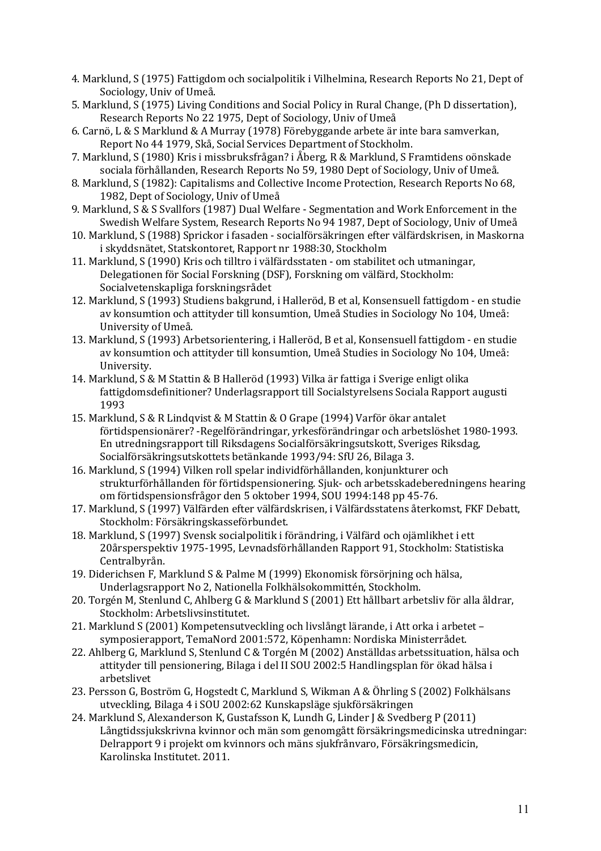- 4. Marklund, S (1975) Fattigdom och socialpolitik i Vilhelmina, Research Reports No 21, Dept of Sociology, Univ of Umeå.
- 5. Marklund, S (1975) Living Conditions and Social Policy in Rural Change, (Ph D dissertation), Research Reports No 22 1975, Dept of Sociology, Univ of Umeå
- 6. Carnö, L & S Marklund & A Murray (1978) Förebyggande arbete är inte bara samverkan, Report No 44 1979, Skå, Social Services Department of Stockholm.
- 7. Marklund, S (1980) Kris i missbruksfrågan? i Åberg, R & Marklund, S Framtidens oönskade sociala förhållanden, Research Reports No 59, 1980 Dept of Sociology, Univ of Umeå.
- 8. Marklund, S (1982): Capitalisms and Collective Income Protection, Research Reports No 68, 1982, Dept of Sociology, Univ of Umeå
- 9. Marklund, S & S Svallfors (1987) Dual Welfare Segmentation and Work Enforcement in the Swedish Welfare System, Research Reports No 94 1987, Dept of Sociology, Univ of Umeå
- 10. Marklund, S (1988) Sprickor i fasaden socialförsäkringen efter välfärdskrisen, in Maskorna i skyddsnätet, Statskontoret, Rapport nr 1988:30, Stockholm
- 11. Marklund, S (1990) Kris och tilltro i välfärdsstaten om stabilitet och utmaningar, Delegationen för Social Forskning (DSF), Forskning om välfärd, Stockholm: Socialvetenskapliga forskningsrådet
- 12. Marklund, S (1993) Studiens bakgrund, i Halleröd, B et al, Konsensuell fattigdom en studie av konsumtion och attityder till konsumtion, Umeå Studies in Sociology No 104, Umeå: University of Umeå.
- 13. Marklund, S (1993) Arbetsorientering, i Halleröd, B et al, Konsensuell fattigdom en studie av konsumtion och attityder till konsumtion, Umeå Studies in Sociology No 104, Umeå: University.
- 14. Marklund, S & M Stattin & B Halleröd (1993) Vilka är fattiga i Sverige enligt olika fattigdomsdefinitioner? Underlagsrapport till Socialstyrelsens Sociala Rapport augusti 1993
- 15. Marklund, S & R Lindqvist & M Stattin & O Grape (1994) Varför ökar antalet förtidspensionärer? -Regelförändringar, yrkesförändringar och arbetslöshet 1980-1993. En utredningsrapport till Riksdagens Socialförsäkringsutskott, Sveriges Riksdag, Socialförsäkringsutskottets betänkande 1993/94: SfU 26, Bilaga 3.
- 16. Marklund, S (1994) Vilken roll spelar individförhållanden, konjunkturer och strukturförhållanden för förtidspensionering. Sjuk- och arbetsskadeberedningens hearing om förtidspensionsfrågor den 5 oktober 1994, SOU 1994:148 pp 45-76.
- 17. Marklund, S (1997) Välfärden efter välfärdskrisen, i Välfärdsstatens återkomst, FKF Debatt, Stockholm: Försäkringskasseförbundet.
- 18. Marklund, S (1997) Svensk socialpolitik i förändring, i Välfärd och ojämlikhet i ett 20årsperspektiv 1975-1995, Levnadsförhållanden Rapport 91, Stockholm: Statistiska Centralbyrån.
- 19. Diderichsen F, Marklund S & Palme M (1999) Ekonomisk försörjning och hälsa, Underlagsrapport No 2, Nationella Folkhälsokommittén, Stockholm.
- 20. Torgén M, Stenlund C, Ahlberg G & Marklund S (2001) Ett hållbart arbetsliv för alla åldrar, Stockholm: Arbetslivsinstitutet.
- 21. Marklund S (2001) Kompetensutveckling och livslångt lärande, i Att orka i arbetet symposierapport, TemaNord 2001:572, Köpenhamn: Nordiska Ministerrådet.
- 22. Ahlberg G, Marklund S, Stenlund C & Torgén M (2002) Anställdas arbetssituation, hälsa och attityder till pensionering, Bilaga i del II SOU 2002:5 Handlingsplan för ökad hälsa i arbetslivet
- 23. Persson G, Boström G, Hogstedt C, Marklund S, Wikman A & Öhrling S (2002) Folkhälsans utveckling, Bilaga 4 i SOU 2002:62 Kunskapsläge sjukförsäkringen
- 24. Marklund S, Alexanderson K, Gustafsson K, Lundh G, Linder J & Svedberg P (2011) Långtidssjukskrivna kvinnor och män som genomgått försäkringsmedicinska utredningar: Delrapport 9 i projekt om kvinnors och mäns sjukfrånvaro, Försäkringsmedicin, Karolinska Institutet. 2011.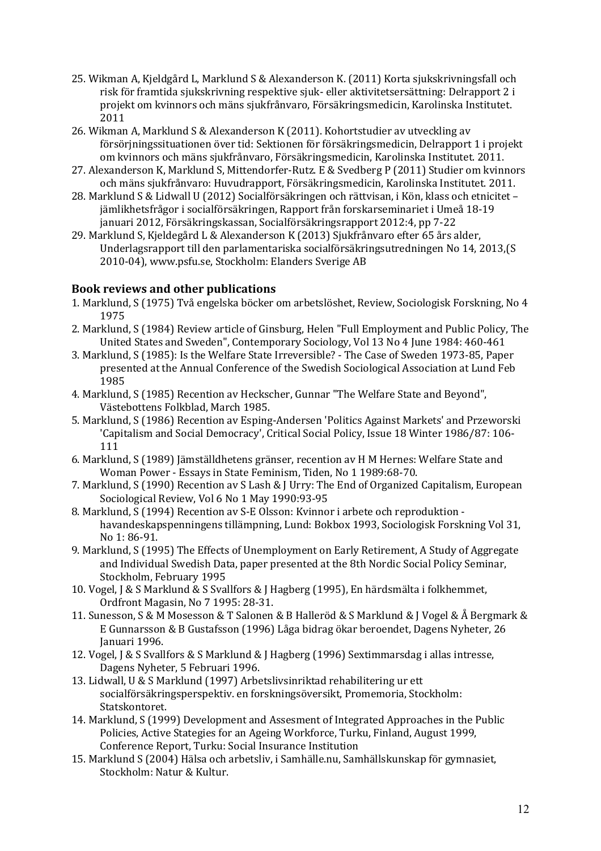- 25. Wikman A, Kjeldgård L, Marklund S & Alexanderson K. (2011) Korta sjukskrivningsfall och risk för framtida sjukskrivning respektive sjuk- eller aktivitetsersättning: Delrapport 2 i projekt om kvinnors och mäns sjukfrånvaro, Försäkringsmedicin, Karolinska Institutet. 2011
- 26. Wikman A, Marklund S & Alexanderson K (2011). Kohortstudier av utveckling av försörjningssituationen över tid: Sektionen för försäkringsmedicin, Delrapport 1 i projekt om kvinnors och mäns sjukfrånvaro, Försäkringsmedicin, Karolinska Institutet. 2011.
- 27. Alexanderson K, Marklund S, Mittendorfer-Rutz. E & Svedberg P (2011) Studier om kvinnors och mäns sjukfrånvaro: Huvudrapport, Försäkringsmedicin, Karolinska Institutet. 2011.
- 28. Marklund S & Lidwall U (2012) Socialförsäkringen och rättvisan, i Kön, klass och etnicitet jämlikhetsfrågor i socialförsäkringen, Rapport från forskarseminariet i Umeå 18-19 januari 2012, Försäkringskassan, Socialförsäkringsrapport 2012:4, pp 7-22
- 29. Marklund S, Kjeldegård L & Alexanderson K (2013) Sjukfrånvaro efter 65 års alder, Underlagsrapport till den parlamentariska socialförsäkringsutredningen No 14, 2013,(S 2010-04), www.psfu.se, Stockholm: Elanders Sverige AB

# **Book reviews and other publications**

- 1. Marklund, S (1975) Två engelska böcker om arbetslöshet, Review, Sociologisk Forskning, No 4 1975
- 2. Marklund, S (1984) Review article of Ginsburg, Helen "Full Employment and Public Policy, The United States and Sweden", Contemporary Sociology, Vol 13 No 4 June 1984: 460-461
- 3. Marklund, S (1985): Is the Welfare State Irreversible? The Case of Sweden 1973-85, Paper presented at the Annual Conference of the Swedish Sociological Association at Lund Feb 1985
- 4. Marklund, S (1985) Recention av Heckscher, Gunnar "The Welfare State and Beyond", Västebottens Folkblad, March 1985.
- 5. Marklund, S (1986) Recention av Esping-Andersen 'Politics Against Markets' and Przeworski 'Capitalism and Social Democracy', Critical Social Policy, Issue 18 Winter 1986/87: 106-111
- 6. Marklund, S (1989) Jämställdhetens gränser, recention av H M Hernes: Welfare State and Woman Power - Essays in State Feminism, Tiden, No 1 1989:68-70.
- 7. Marklund, S (1990) Recention av S Lash & J Urry: The End of Organized Capitalism, European Sociological Review, Vol 6 No 1 May 1990:93-95
- 8. Marklund, S (1994) Recention av S-E Olsson: Kvinnor i arbete och reproduktion havandeskapspenningens tillämpning, Lund: Bokbox 1993, Sociologisk Forskning Vol 31, No 1: 86-91.
- 9. Marklund, S (1995) The Effects of Unemployment on Early Retirement, A Study of Aggregate and Individual Swedish Data, paper presented at the 8th Nordic Social Policy Seminar, Stockholm, February 1995
- 10. Vogel, J & S Marklund & S Svallfors & J Hagberg (1995), En härdsmälta i folkhemmet, Ordfront Magasin, No 7 1995: 28-31.
- 11. Sunesson, S & M Mosesson & T Salonen & B Halleröd & S Marklund & J Vogel & Å Bergmark & E Gunnarsson & B Gustafsson (1996) Låga bidrag ökar beroendet, Dagens Nyheter, 26 Januari 1996.
- 12. Vogel, J & S Svallfors & S Marklund & J Hagberg (1996) Sextimmarsdag i allas intresse, Dagens Nyheter, 5 Februari 1996.
- 13. Lidwall, U & S Marklund (1997) Arbetslivsinriktad rehabilitering ur ett socialförsäkringsperspektiv. en forskningsöversikt, Promemoria, Stockholm: Statskontoret.
- 14. Marklund, S (1999) Development and Assesment of Integrated Approaches in the Public Policies, Active Stategies for an Ageing Workforce, Turku, Finland, August 1999, Conference Report, Turku: Social Insurance Institution
- 15. Marklund S (2004) Hälsa och arbetsliv, i Samhälle.nu, Samhällskunskap för gymnasiet, Stockholm: Natur & Kultur.